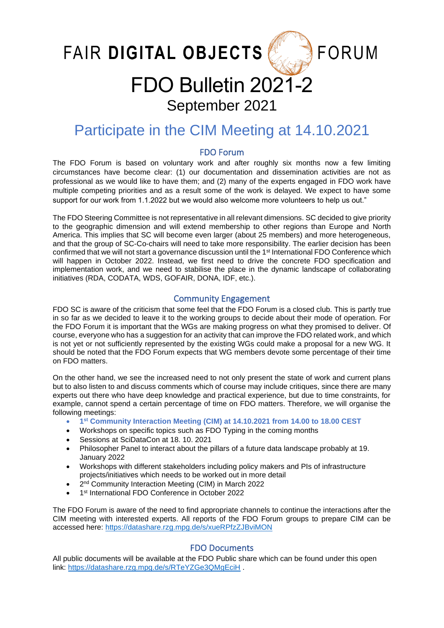FAIR DIGITAL OBJECTS

**FORUM** 

# FDO Bulletin 2021-2 September 2021

# Participate in the CIM Meeting at 14.10.2021

# FDO Forum

The FDO Forum is based on voluntary work and after roughly six months now a few limiting circumstances have become clear: (1) our documentation and dissemination activities are not as professional as we would like to have them; and (2) many of the experts engaged in FDO work have multiple competing priorities and as a result some of the work is delayed. We expect to have some support for our work from 1.1.2022 but we would also welcome more volunteers to help us out."

The FDO Steering Committee is not representative in all relevant dimensions. SC decided to give priority to the geographic dimension and will extend membership to other regions than Europe and North America. This implies that SC will become even larger (about 25 members) and more heterogeneous, and that the group of SC-Co-chairs will need to take more responsibility. The earlier decision has been confirmed that we will not start a governance discussion until the 1<sup>st</sup> International FDO Conference which will happen in October 2022. Instead, we first need to drive the concrete FDO specification and implementation work, and we need to stabilise the place in the dynamic landscape of collaborating initiatives (RDA, CODATA, WDS, GOFAIR, DONA, IDF, etc.).

# Community Engagement

FDO SC is aware of the criticism that some feel that the FDO Forum is a closed club. This is partly true in so far as we decided to leave it to the working groups to decide about their mode of operation. For the FDO Forum it is important that the WGs are making progress on what they promised to deliver. Of course, everyone who has a suggestion for an activity that can improve the FDO related work, and which is not yet or not sufficiently represented by the existing WGs could make a proposal for a new WG. It should be noted that the FDO Forum expects that WG members devote some percentage of their time on FDO matters.

On the other hand, we see the increased need to not only present the state of work and current plans but to also listen to and discuss comments which of course may include critiques, since there are many experts out there who have deep knowledge and practical experience, but due to time constraints, for example, cannot spend a certain percentage of time on FDO matters. Therefore, we will organise the following meetings:

- **1 st Community Interaction Meeting (CIM) at 14.10.2021 from 14.00 to 18.00 CEST**
- Workshops on specific topics such as FDO Typing in the coming months
- Sessions at SciDataCon at 18. 10. 2021
- Philosopher Panel to interact about the pillars of a future data landscape probably at 19. January 2022
- Workshops with different stakeholders including policy makers and PIs of infrastructure projects/initiatives which needs to be worked out in more detail
- 2<sup>nd</sup> Community Interaction Meeting (CIM) in March 2022
- 1 st International FDO Conference in October 2022

The FDO Forum is aware of the need to find appropriate channels to continue the interactions after the CIM meeting with interested experts. All reports of the FDO Forum groups to prepare CIM can be accessed here:<https://datashare.rzg.mpg.de/s/xueRPfzZJBviMON>

## FDO Documents

All public documents will be available at the FDO Public share which can be found under this open link:<https://datashare.rzg.mpg.de/s/RTeYZGe3QMgEciH> .